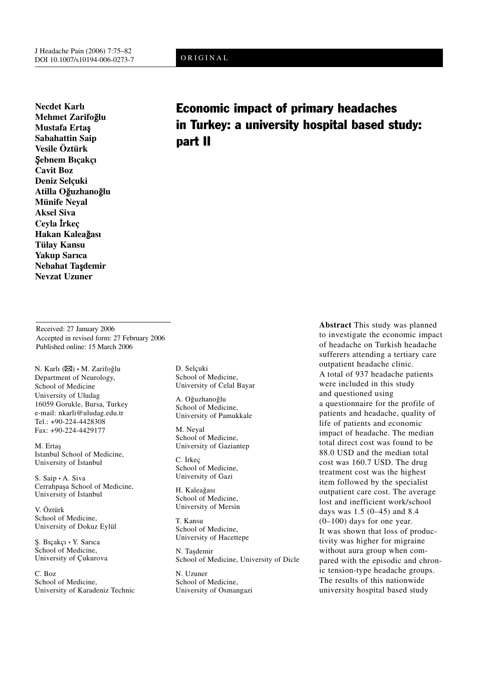**Necdet Karlı Mehmet Zarifo**¤**lu Mustafa Ertas Sabahattin Saip Vesile Öztürk Sebnem Bıçakçı Cavit Boz Deniz Selçuki Atilla O**¤**uzhano**¤**lu Münife Neyal Aksel Siva Ceyla Irkec Hakan Kalea**¤**ası Tülay Kansu Yakup Sarıca Nebahat Ta**fl**demir Nevzat Uzuner**

# Economic impact of primary headaches in Turkey: a university hospital based study: part II

Received: 27 January 2006 Accepted in revised form: 27 February 2006 Published online: 15 March 2006

N. Karlı (⊠) • M. Zarifoğlu Department of Neurology, School of Medicine University of Uludag 16059 Gorukle, Bursa, Turkey e-mail: nkarli@uludag.edu.tr Tel.: +90-224-4428308 Fax: +90-224-4429177

M. Ertas Istanbul School of Medicine, University of İstanbul

S. Saip • A. Siva Cerrahpaşa School of Medicine, University of İstanbul

V. Öztürk School of Medicine, University of Dokuz Eylül

fi. Bıçakçı • Y. Sarıca School of Medicine, University of Çukurova

C. Boz School of Medicine, University of Karadeniz Technic D. Selçuki School of Medicine. University of Celal Bayar

A. Oğuzhanoğlu School of Medicine. University of Pamukkale

M. Neyal School of Medicine, University of Gaziantep

C. İrkec School of Medicine, University of Gazi

H. Kaleağası School of Medicine, University of Mersin

T. Kansu School of Medicine, University of Hacettepe

N. Taşdemir School of Medicine, University of Dicle

N. Uzuner School of Medicine, University of Osmangazi **Abstract** This study was planned to investigate the economic impact of headache on Turkish headache sufferers attending a tertiary care outpatient headache clinic. A total of 937 headache patients were included in this study and questioned using a questionnaire for the profile of patients and headache, quality of life of patients and economic impact of headache. The median total direct cost was found to be 88.0 USD and the median total cost was 160.7 USD. The drug treatment cost was the highest item followed by the specialist outpatient care cost. The average lost and inefficient work/school days was 1.5 (0–45) and 8.4  $(0-100)$  days for one year. It was shown that loss of productivity was higher for migraine without aura group when compared with the episodic and chronic tension-type headache groups. The results of this nationwide university hospital based study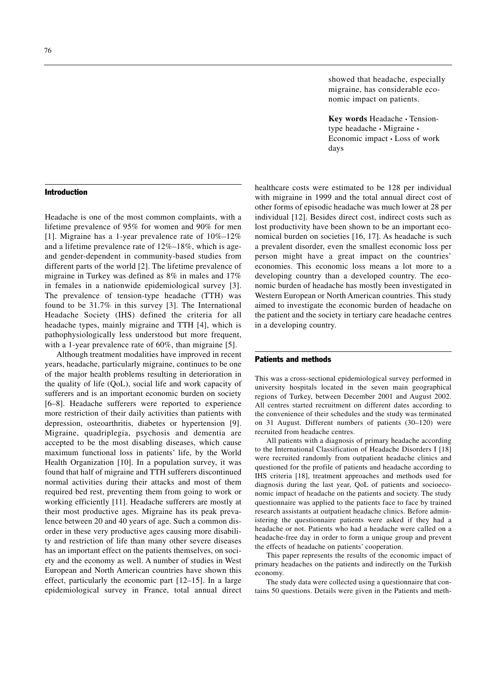#### Introduction

Headache is one of the most common complaints, with a lifetime prevalence of 95% for women and 90% for men [1]. Migraine has a 1-year prevalence rate of 10%–12% and a lifetime prevalence rate of 12%–18%, which is ageand gender-dependent in community-based studies from different parts of the world [2]. The lifetime prevalence of migraine in Turkey was defined as 8% in males and 17% in females in a nationwide epidemiological survey [3]. The prevalence of tension-type headache (TTH) was found to be 31.7% in this survey [3]. The International Headache Society (IHS) defined the criteria for all headache types, mainly migraine and TTH [4], which is pathophysiologically less understood but more frequent, with a 1-year prevalence rate of 60%, than migraine [5].

Although treatment modalities have improved in recent years, headache, particularly migraine, continues to be one of the major health problems resulting in deterioration in the quality of life (QoL), social life and work capacity of sufferers and is an important economic burden on society [6–8]. Headache sufferers were reported to experience more restriction of their daily activities than patients with depression, osteoarthritis, diabetes or hypertension [9]. Migraine, quadriplegia, psychosis and dementia are accepted to be the most disabling diseases, which cause maximum functional loss in patients' life, by the World Health Organization [10]. In a population survey, it was found that half of migraine and TTH sufferers discontinued normal activities during their attacks and most of them required bed rest, preventing them from going to work or working efficiently [11]. Headache sufferers are mostly at their most productive ages. Migraine has its peak prevalence between 20 and 40 years of age. Such a common disorder in these very productive ages causing more disability and restriction of life than many other severe diseases has an important effect on the patients themselves, on society and the economy as well. A number of studies in West European and North American countries have shown this effect, particularly the economic part [12–15]. In a large epidemiological survey in France, total annual direct showed that headache, especially migraine, has considerable economic impact on patients.

**Key words** Headache • Tensiontype headache • Migraine • Economic impact • Loss of work days

healthcare costs were estimated to be 128 per individual with migraine in 1999 and the total annual direct cost of other forms of episodic headache was much lower at 28 per individual [12]. Besides direct cost, indirect costs such as lost productivity have been shown to be an important economical burden on societies [16, 17]. As headache is such a prevalent disorder, even the smallest economic loss per person might have a great impact on the countries' economies. This economic loss means a lot more to a developing country than a developed country. The economic burden of headache has mostly been investigated in Western European or North American countries. This study aimed to investigate the economic burden of headache on the patient and the society in tertiary care headache centres in a developing country.

# Patients and methods

This was a cross-sectional epidemiological survey performed in university hospitals located in the seven main geographical regions of Turkey, between December 2001 and August 2002. All centres started recruitment on different dates according to the convenience of their schedules and the study was terminated on 31 August. Different numbers of patients (30–120) were recruited from headache centres.

All patients with a diagnosis of primary headache according to the International Classification of Headache Disorders I [18] were recruited randomly from outpatient headache clinics and questioned for the profile of patients and headache according to IHS criteria [18], treatment approaches and methods used for diagnosis during the last year, QoL of patients and socioeconomic impact of headache on the patients and society. The study questionnaire was applied to the patients face to face by trained research assistants at outpatient headache clinics. Before administering the questionnaire patients were asked if they had a headache or not. Patients who had a headache were called on a headache-free day in order to form a unique group and prevent the effects of headache on patients' cooperation.

This paper represents the results of the economic impact of primary headaches on the patients and indirectly on the Turkish economy.

The study data were collected using a questionnaire that contains 50 questions. Details were given in the Patients and meth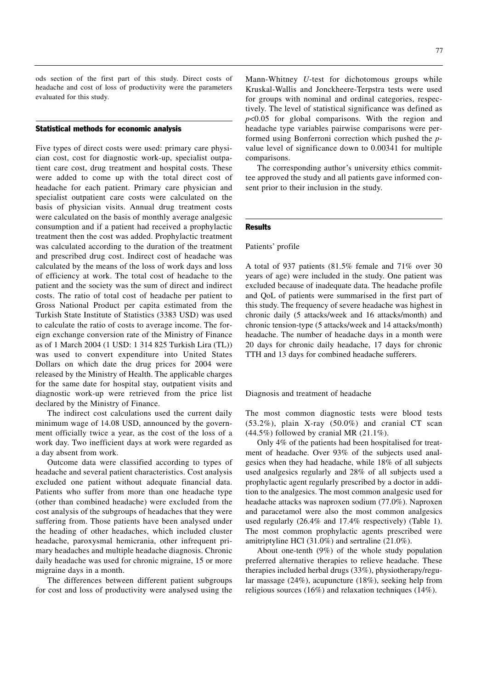ods section of the first part of this study. Direct costs of headache and cost of loss of productivity were the parameters evaluated for this study.

### Statistical methods for economic analysis

Five types of direct costs were used: primary care physician cost, cost for diagnostic work-up, specialist outpatient care cost, drug treatment and hospital costs. These were added to come up with the total direct cost of headache for each patient. Primary care physician and specialist outpatient care costs were calculated on the basis of physician visits. Annual drug treatment costs were calculated on the basis of monthly average analgesic consumption and if a patient had received a prophylactic treatment then the cost was added. Prophylactic treatment was calculated according to the duration of the treatment and prescribed drug cost. Indirect cost of headache was calculated by the means of the loss of work days and loss of efficiency at work. The total cost of headache to the patient and the society was the sum of direct and indirect costs. The ratio of total cost of headache per patient to Gross National Product per capita estimated from the Turkish State Institute of Statistics (3383 USD) was used to calculate the ratio of costs to average income. The foreign exchange conversion rate of the Ministry of Finance as of 1 March 2004 (1 USD: 1 314 825 Turkish Lira (TL)) was used to convert expenditure into United States Dollars on which date the drug prices for 2004 were released by the Ministry of Health. The applicable charges for the same date for hospital stay, outpatient visits and diagnostic work-up were retrieved from the price list declared by the Ministry of Finance.

The indirect cost calculations used the current daily minimum wage of 14.08 USD, announced by the government officially twice a year, as the cost of the loss of a work day. Two inefficient days at work were regarded as a day absent from work.

Outcome data were classified according to types of headache and several patient characteristics. Cost analysis excluded one patient without adequate financial data. Patients who suffer from more than one headache type (other than combined headache) were excluded from the cost analysis of the subgroups of headaches that they were suffering from. Those patients have been analysed under the heading of other headaches, which included cluster headache, paroxysmal hemicrania, other infrequent primary headaches and multiple headache diagnosis. Chronic daily headache was used for chronic migraine, 15 or more migraine days in a month.

The differences between different patient subgroups for cost and loss of productivity were analysed using the Mann-Whitney *U*-test for dichotomous groups while Kruskal-Wallis and Jonckheere-Terpstra tests were used for groups with nominal and ordinal categories, respectively. The level of statistical significance was defined as *p*<0.05 for global comparisons. With the region and headache type variables pairwise comparisons were performed using Bonferroni correction which pushed the *p*value level of significance down to 0.00341 for multiple comparisons.

The corresponding author's university ethics committee approved the study and all patients gave informed consent prior to their inclusion in the study.

# **Results**

# Patients' profile

A total of 937 patients (81.5% female and 71% over 30 years of age) were included in the study. One patient was excluded because of inadequate data. The headache profile and QoL of patients were summarised in the first part of this study. The frequency of severe headache was highest in chronic daily (5 attacks/week and 16 attacks/month) and chronic tension-type (5 attacks/week and 14 attacks/month) headache. The number of headache days in a month were 20 days for chronic daily headache, 17 days for chronic TTH and 13 days for combined headache sufferers.

Diagnosis and treatment of headache

The most common diagnostic tests were blood tests (53.2%), plain X-ray (50.0%) and cranial CT scan  $(44.5\%)$  followed by cranial MR  $(21.1\%)$ .

Only 4% of the patients had been hospitalised for treatment of headache. Over 93% of the subjects used analgesics when they had headache, while 18% of all subjects used analgesics regularly and 28% of all subjects used a prophylactic agent regularly prescribed by a doctor in addition to the analgesics. The most common analgesic used for headache attacks was naproxen sodium (77.0%). Naproxen and paracetamol were also the most common analgesics used regularly (26.4% and 17.4% respectively) (Table 1). The most common prophylactic agents prescribed were amitriptyline HCl (31.0%) and sertraline (21.0%).

About one-tenth (9%) of the whole study population preferred alternative therapies to relieve headache. These therapies included herbal drugs (33%), physiotherapy/regular massage (24%), acupuncture (18%), seeking help from religious sources (16%) and relaxation techniques (14%).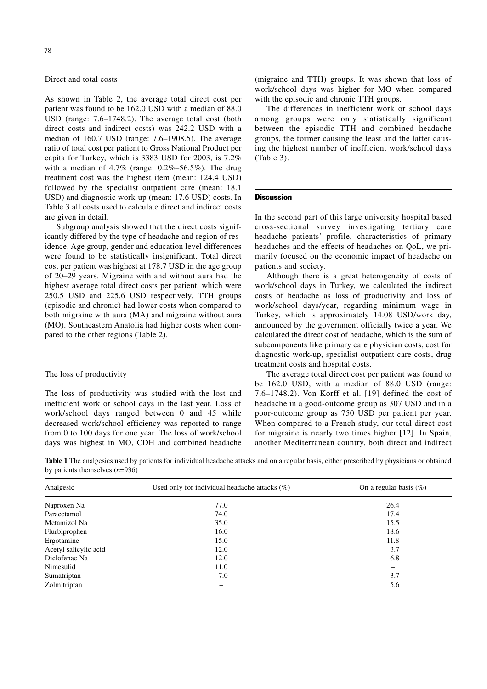# Direct and total costs

As shown in Table 2, the average total direct cost per patient was found to be 162.0 USD with a median of 88.0 USD (range: 7.6–1748.2). The average total cost (both direct costs and indirect costs) was 242.2 USD with a median of 160.7 USD (range: 7.6–1908.5). The average ratio of total cost per patient to Gross National Product per capita for Turkey, which is 3383 USD for 2003, is 7.2% with a median of  $4.7\%$  (range:  $0.2\%$ –56.5%). The drug treatment cost was the highest item (mean: 124.4 USD) followed by the specialist outpatient care (mean: 18.1 USD) and diagnostic work-up (mean: 17.6 USD) costs. In Table 3 all costs used to calculate direct and indirect costs are given in detail.

Subgroup analysis showed that the direct costs significantly differed by the type of headache and region of residence. Age group, gender and education level differences were found to be statistically insignificant. Total direct cost per patient was highest at 178.7 USD in the age group of 20–29 years. Migraine with and without aura had the highest average total direct costs per patient, which were 250.5 USD and 225.6 USD respectively. TTH groups (episodic and chronic) had lower costs when compared to both migraine with aura (MA) and migraine without aura (MO). Southeastern Anatolia had higher costs when compared to the other regions (Table 2).

# The loss of productivity

The loss of productivity was studied with the lost and inefficient work or school days in the last year. Loss of work/school days ranged between 0 and 45 while decreased work/school efficiency was reported to range from 0 to 100 days for one year. The loss of work/school days was highest in MO, CDH and combined headache (migraine and TTH) groups. It was shown that loss of work/school days was higher for MO when compared with the episodic and chronic TTH groups.

The differences in inefficient work or school days among groups were only statistically significant between the episodic TTH and combined headache groups, the former causing the least and the latter causing the highest number of inefficient work/school days (Table 3).

# **Discussion**

In the second part of this large university hospital based cross-sectional survey investigating tertiary care headache patients' profile, characteristics of primary headaches and the effects of headaches on QoL, we primarily focused on the economic impact of headache on patients and society.

Although there is a great heterogeneity of costs of work/school days in Turkey, we calculated the indirect costs of headache as loss of productivity and loss of work/school days/year, regarding minimum wage in Turkey, which is approximately 14.08 USD/work day, announced by the government officially twice a year. We calculated the direct cost of headache, which is the sum of subcomponents like primary care physician costs, cost for diagnostic work-up, specialist outpatient care costs, drug treatment costs and hospital costs.

The average total direct cost per patient was found to be 162.0 USD, with a median of 88.0 USD (range: 7.6–1748.2). Von Korff et al. [19] defined the cost of headache in a good-outcome group as 307 USD and in a poor-outcome group as 750 USD per patient per year. When compared to a French study, our total direct cost for migraine is nearly two times higher [12]. In Spain, another Mediterranean country, both direct and indirect

**Table 1** The analgesics used by patients for individual headache attacks and on a regular basis, either prescribed by physicians or obtained by patients themselves (*n*=936)

| Analgesic             | Used only for individual headache attacks $(\%)$ | On a regular basis $(\%)$ |
|-----------------------|--------------------------------------------------|---------------------------|
| Naproxen Na           | 77.0                                             | 26.4                      |
| Paracetamol           | 74.0                                             | 17.4                      |
| Metamizol Na          | 35.0                                             | 15.5                      |
| Flurbiprophen         | 16.0                                             | 18.6                      |
| Ergotamine            | 15.0                                             | 11.8                      |
| Acetyl salicylic acid | 12.0                                             | 3.7                       |
| Diclofenac Na         | 12.0                                             | 6.8                       |
| Nimesulid             | 11.0                                             | -                         |
| Sumatriptan           | 7.0                                              | 3.7                       |
| Zolmitriptan          |                                                  | 5.6                       |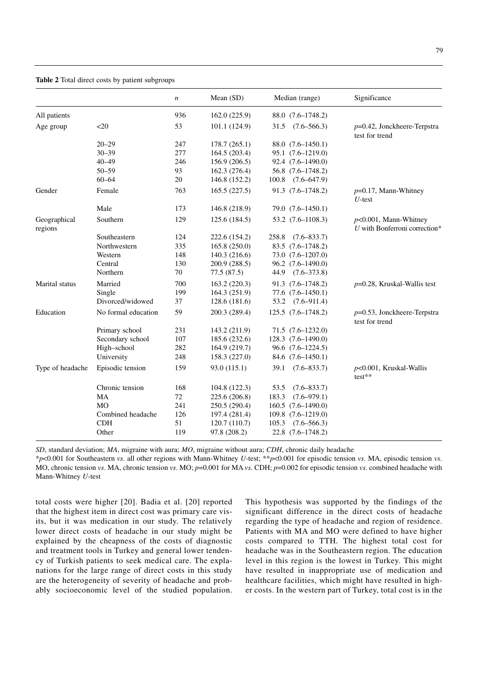|                         |                     | $\boldsymbol{n}$ | Mean (SD)     | Median (range)           | Significance                                                |
|-------------------------|---------------------|------------------|---------------|--------------------------|-------------------------------------------------------------|
| All patients            |                     | 936              | 162.0(225.9)  | 88.0 (7.6-1748.2)        |                                                             |
| Age group               | <20                 | 53               | 101.1 (124.9) | 31.5<br>$(7.6 - 566.3)$  | $p=0.42$ , Jonckheere-Terpstra<br>test for trend            |
|                         | $20 - 29$           | 247              | 178.7(265.1)  | 88.0 (7.6-1450.1)        |                                                             |
|                         | $30 - 39$           | 277              | 164.5 (203.4) | 95.1 (7.6-1219.0)        |                                                             |
|                         | $40 - 49$           | 246              | 156.9(206.5)  | 92.4 (7.6-1490.0)        |                                                             |
|                         | $50 - 59$           | 93               | 162.3(276.4)  | 56.8 (7.6-1748.2)        |                                                             |
|                         | $60 - 64$           | 20               | 146.8 (152.2) | 100.8<br>$(7.6 - 647.9)$ |                                                             |
| Gender                  | Female              | 763              | 165.5(227.5)  | 91.3 (7.6-1748.2)        | $p=0.17$ , Mann-Whitney<br>$U$ -test                        |
|                         | Male                | 173              | 146.8 (218.9) | 79.0 (7.6-1450.1)        |                                                             |
| Geographical<br>regions | Southern            | 129              | 125.6 (184.5) | 53.2 $(7.6-1108.3)$      | $p<0.001$ , Mann-Whitney<br>$U$ with Bonferroni correction* |
|                         | Southeastern        | 124              | 222.6 (154.2) | 258.8<br>$(7.6 - 833.7)$ |                                                             |
|                         | Northwestern        | 335              | 165.8(250.0)  | $83.5(7.6 - 1748.2)$     |                                                             |
|                         | Western             | 148              | 140.3 (216.6) | 73.0 (7.6-1207.0)        |                                                             |
|                         | Central             | 130              | 200.9 (288.5) | 96.2 (7.6-1490.0)        |                                                             |
|                         | Northern            | 70               | 77.5 (87.5)   | 44.9<br>$(7.6 - 373.8)$  |                                                             |
| Marital status          | Married             | 700              | 163.2(220.3)  | 91.3 (7.6-1748.2)        | $p=0.28$ , Kruskal-Wallis test                              |
|                         | Single              | 199              | 164.3 (251.9) | $77.6$ $(7.6-1450.1)$    |                                                             |
|                         | Divorced/widowed    | 37               | 128.6(181.6)  | 53.2 (7.6–911.4)         |                                                             |
| Education               | No formal education | 59               | 200.3 (289.4) | 125.5 (7.6-1748.2)       | $p=0.53$ , Jonckheere-Terpstra<br>test for trend            |
|                         | Primary school      | 231              | 143.2 (211.9) | $71.5(7.6-1232.0)$       |                                                             |
|                         | Secondary school    | 107              | 185.6 (232.6) | 128.3 (7.6-1490.0)       |                                                             |
|                         | High-school         | 282              | 164.9 (219.7) | 96.6 (7.6-1224.5)        |                                                             |
|                         | University          | 248              | 158.3 (227.0) | $84.6$ $(7.6-1450.1)$    |                                                             |
| Type of headache        | Episodic tension    | 159              | 93.0 (115.1)  | 39.1<br>$(7.6 - 833.7)$  | $p<0.001$ , Kruskal-Wallis<br>test**                        |
|                         | Chronic tension     | 168              | 104.8 (122.3) | 53.5<br>$(7.6 - 833.7)$  |                                                             |
|                         | MA                  | 72               | 225.6 (206.8) | 183.3<br>$(7.6 - 979.1)$ |                                                             |
|                         | <b>MO</b>           | 241              | 250.5 (290.4) | $160.5(7.6-1490.0)$      |                                                             |
|                         | Combined headache   | 126              | 197.4 (281.4) | 109.8 (7.6-1219.0)       |                                                             |
|                         | <b>CDH</b>          | 51               | 120.7(110.7)  | 105.3<br>$(7.6 - 566.3)$ |                                                             |
|                         | Other               | 119              | 97.8 (208.2)  | 22.8 (7.6-1748.2)        |                                                             |
|                         |                     |                  |               |                          |                                                             |

#### **Table 2** Total direct costs by patient subgroups

*SD*, standard deviation; *MA*, migraine with aura; *MO*, migraine without aura; *CDH*, chronic daily headache

\**p*<0.001 for Southeastern *vs*. all other regions with Mann-Whitney *U*-test; \*\**p*<0.001 for episodic tension *vs*. MA, episodic tension *vs*. MO, chronic tension *vs*. MA, chronic tension *vs*. MO; *p*=0.001 for MA *vs*. CDH; *p*=0.002 for episodic tension *vs*. combined headache with Mann-Whitney *U*-test

total costs were higher [20]. Badia et al. [20] reported that the highest item in direct cost was primary care visits, but it was medication in our study. The relatively lower direct costs of headache in our study might be explained by the cheapness of the costs of diagnostic and treatment tools in Turkey and general lower tendency of Turkish patients to seek medical care. The explanations for the large range of direct costs in this study are the heterogeneity of severity of headache and probably socioeconomic level of the studied population.

This hypothesis was supported by the findings of the significant difference in the direct costs of headache regarding the type of headache and region of residence. Patients with MA and MO were defined to have higher costs compared to TTH. The highest total cost for headache was in the Southeastern region. The education level in this region is the lowest in Turkey. This might have resulted in inappropriate use of medication and healthcare facilities, which might have resulted in higher costs. In the western part of Turkey, total cost is in the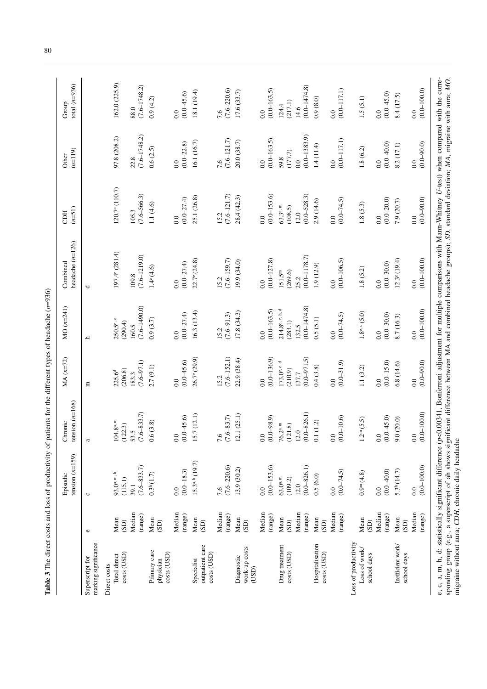|                                                      |                                    | tension $(n=159)$<br>Episodic                     | tension $(n=168)$<br>Chronic                                 | $MA (n=72)$                                                  | $MO$ $(n=241)$                                          | headache $(n=126)$<br>Combined                         | $(n=51)$<br>ĞБ                                      | $(n=119)$<br>Other                         | total $(n=936)$<br>Group                     |
|------------------------------------------------------|------------------------------------|---------------------------------------------------|--------------------------------------------------------------|--------------------------------------------------------------|---------------------------------------------------------|--------------------------------------------------------|-----------------------------------------------------|--------------------------------------------|----------------------------------------------|
| marking significance<br>Superscript for              | $\mathbb O$                        | $\circ$                                           | $\approx$                                                    | Ε                                                            | h                                                       | ರ                                                      |                                                     |                                            |                                              |
| Direct costs                                         |                                    |                                                   |                                                              |                                                              |                                                         |                                                        |                                                     |                                            |                                              |
| $\cos(s)$ (USD)<br>Total direct                      | Mean<br>(SD)                       | 93.0a.m.h<br>(115.1)                              | $104.8a, m$<br>(122.3)                                       | (206.8)<br>225.6 <sup>d</sup>                                | $250.5^{\circ}$ .<br>(290.4)                            | 197.4e(281.4)                                          | $120.7a$ (110.7)                                    | 97.8 (208.2)                               | 162.0 (225.9)                                |
|                                                      | Median<br>(range)                  | $(7.6 - 833.7)$<br>39.1                           | $(7.6 - 833.7)$<br>53.5                                      | $(7.6 - 97.1)$<br>183.3                                      | $(7.6 - 1490.0)$<br>160.5                               | $(7.6 - 1219.0)$<br>109.8                              | $(7.6 - 566.3)$<br>105.3                            | $(7.6 - 1748.2)$<br>22.8                   | $(7.6 - 1748.2)$<br>88.0                     |
| Primary care<br>costs (USD)<br>physician             | Mean<br>(SD)                       | 0.3 <sup>h</sup> (1.7)                            | 0.6(3.8)                                                     | 2.7 (9.1)                                                    | 0.9(3.7)                                                | $1.4^{\circ}$ (4.6)                                    | 1.1(4.6)                                            | 0.6(2.5)                                   | 0.9(4.2)                                     |
|                                                      | Median<br>(range)                  | $(0.0 - 18.3)$<br>0.0                             | $(0.0 - 45.6)$<br>0.0                                        | $(0.0 - 45.6)$<br>0.0                                        | $(0.0 - 27.4)$<br>0.0                                   | $(0.0 - 27.4)$<br>0.0                                  | $(0.0 - 27.4)$<br>0.0                               | $(0.0 - 22.8)$<br>0.0                      | $(0.0 - 45.6)$<br>0.0                        |
| outpatient care<br>costs (USD)<br>Specialist         | Mean<br>(SD)                       | $15.3^{a,h}(19.7)$                                | 15.7 (12.1)                                                  | 26.7e (29.9)                                                 | 16.3(13.4)                                              | $22.7^{\circ} (24.8)$                                  | 25.1 (26.8)                                         | 16.1 (16.7)                                | 18.1 (19.4)                                  |
|                                                      | Median<br>(rangee)                 | $(7.6 - 220.6)$<br>7.6                            | 7.6<br>$(7.6-83.7)$                                          | $(7.6 - 152.1)$<br>15.2                                      | $(7.6 - 91.3)$<br>15.2                                  | $(7.6 - 159.7)$<br>15.2                                | $(7.6 - 121.7)$<br>15.2                             | $(7.6 - 121.7)$<br>7.6                     | $(7.6 - 220.6)$<br>7.6                       |
| work-up costs<br>Diagnostic<br>(USD)                 | Mean<br>(SD)                       | 13.9 (30.2)                                       | 12.1(25.1)                                                   | 22.9 (38.4)                                                  | 17.8(34.3)                                              | 19.9 (34.0)                                            | 28.4 (42.3)                                         | 20.0 (38.7)                                | 17.6(33.7)                                   |
|                                                      | Median<br>(range)                  | $(0.0 - 153.6)$<br>0.0                            | $(0.0 - 98.9)$<br>0.0                                        | $(0.0 - 136.9)$<br>$\overline{0.0}$                          | $(0.0 - 163.5)$<br>$\overline{0}$                       | $(0.0 - 127.8)$<br>$\overline{0}$                      | $(0.0 - 153.6)$<br>0.0                              | $(0.0 - 163.5)$<br>0.0                     | $(0.0 - 163.5)$<br>0.0                       |
| Drug treatment<br>costs (USD)                        | Median<br>(rangee)<br>Mean<br>(SD) | $(0.0 - 826.1)$<br>$63.0a$ .m<br>(109.2)<br>12.0  | $(0.0 - 826.1)$<br>$76.2$ <sup>a, m</sup><br>(121.8)<br>12.0 | $(0.0 - 971.5)$<br>$173.0^{\circ. c. d}$<br>(210.9)<br>137.7 | $(0.0 - 1474.8)$<br>214.8e, c, h, d<br>(283.1)<br>132.5 | $(0.0 - 1178.7)$<br>(269.6)<br>$151.5^{\rm m}$<br>25.2 | $(0.0 - 528.3)$<br>$63.3^{a. m}$<br>(108.5)<br>12.0 | $(0.0 - 1383.9)$<br>(177.7)<br>59.8<br>0.0 | $(0.0 - 1474.8)$<br>(217.1)<br>124.4<br>14.6 |
| Hospitalisation<br>$\cos(s)$ (USD)                   | Median<br>(range)<br>Mean<br>(SD)  | $(0.0 - 74.5)$<br>0.5(6.0)<br>0.0                 | $(0.0 - 10.6)$<br>0.1(1.2)<br>0.0                            | $(0.0 - 31.9)$<br>0.4(3.8)<br>0.0                            | $(0.0 - 74.5)$<br>0.5(5.1)<br>0.0                       | $(0.0 - 106.5)$<br>1.9(12.9)<br>0.0                    | $(0.0 - 74.5)$<br>2.9 (14.6)<br>0.0                 | $(0.0 - 117.1)$<br>1.4(11.4)<br>0.0        | $(0.0 - 117.1)$<br>0.9(8.0)<br>0.0           |
| Loss of productivity<br>Loss of work/<br>school days | Median<br>(range)<br>Mean<br>(SD)  | $(0.0 - 40.0)$<br>0.9 <sup>m</sup> (4.8)<br>0.0   | $(0.0 - 45.0)$<br>$1.2^m(5.5)$<br>0.0                        | $(0.0 - 15.0)$<br>1.1 $(3.2)$<br>$\overline{0.0}$            | $1.8^{\circ}$ $(5.0)$<br>$(0.0 - 30.0)$<br>0.0          | $(0.0 - 30.0)$<br>1.8(5.2)<br>0.0                      | $(0.0 - 20.0)$<br>1.8(5.3)<br>0.0                   | $(0.0 - 40.0)$<br>1.8(6.2)<br>0.0          | $(0.0 - 45.0)$<br>1.5(5.1)<br>0.0            |
| Inefficient work/<br>school days                     | Median<br>(range)<br>Mean<br>(SD)  | $(0.0 - 100.0)$<br>5.3 <sup>h</sup> (14.7)<br>0.0 | $(0.0 - 100.0)$<br>9.0(20.0)<br>0.0                          | $(0.0 - 90.0)$<br>6.8(14.6)<br>0.0                           | $(0.0 - 100.0)$<br>8.7 (16.3)<br>0.0                    | $(0.0 - 100.0)$<br>$12.3^{\circ}(19.4)$<br>0.0         | $(0.0 - 90.0)$<br>$7.9~(20.7)$<br>0.0               | $(0.0 - 90.0)$<br>8.2 (17.1)<br>0.0        | $(0.0 - 100.0)$<br>8.4 (17.5)<br>0.0         |

80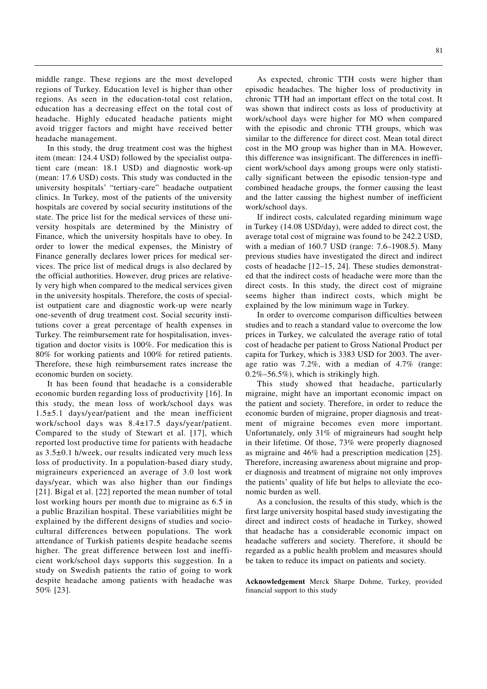middle range. These regions are the most developed regions of Turkey. Education level is higher than other regions. As seen in the education-total cost relation, education has a decreasing effect on the total cost of headache. Highly educated headache patients might avoid trigger factors and might have received better headache management.

In this study, the drug treatment cost was the highest item (mean: 124.4 USD) followed by the specialist outpatient care (mean: 18.1 USD) and diagnostic work-up (mean: 17.6 USD) costs. This study was conducted in the university hospitals' "tertiary-care" headache outpatient clinics. In Turkey, most of the patients of the university hospitals are covered by social security institutions of the state. The price list for the medical services of these university hospitals are determined by the Ministry of Finance, which the university hospitals have to obey. In order to lower the medical expenses, the Ministry of Finance generally declares lower prices for medical services. The price list of medical drugs is also declared by the official authorities. However, drug prices are relatively very high when compared to the medical services given in the university hospitals. Therefore, the costs of specialist outpatient care and diagnostic work-up were nearly one-seventh of drug treatment cost. Social security institutions cover a great percentage of health expenses in Turkey. The reimbursement rate for hospitalisation, investigation and doctor visits is 100%. For medication this is 80% for working patients and 100% for retired patients. Therefore, these high reimbursement rates increase the economic burden on society.

It has been found that headache is a considerable economic burden regarding loss of productivity [16]. In this study, the mean loss of work/school days was 1.5±5.1 days/year/patient and the mean inefficient work/school days was 8.4±17.5 days/year/patient. Compared to the study of Stewart et al. [17], which reported lost productive time for patients with headache as 3.5±0.1 h/week, our results indicated very much less loss of productivity. In a population-based diary study, migraineurs experienced an average of 3.0 lost work days/year, which was also higher than our findings [21]. Bigal et al. [22] reported the mean number of total lost working hours per month due to migraine as 6.5 in a public Brazilian hospital. These variabilities might be explained by the different designs of studies and sociocultural differences between populations. The work attendance of Turkish patients despite headache seems higher. The great difference between lost and inefficient work/school days supports this suggestion. In a study on Swedish patients the ratio of going to work despite headache among patients with headache was 50% [23].

As expected, chronic TTH costs were higher than episodic headaches. The higher loss of productivity in chronic TTH had an important effect on the total cost. It was shown that indirect costs as loss of productivity at work/school days were higher for MO when compared with the episodic and chronic TTH groups, which was similar to the difference for direct cost. Mean total direct cost in the MO group was higher than in MA. However, this difference was insignificant. The differences in inefficient work/school days among groups were only statistically significant between the episodic tension-type and combined headache groups, the former causing the least and the latter causing the highest number of inefficient work/school days.

If indirect costs, calculated regarding minimum wage in Turkey (14.08 USD/day), were added to direct cost, the average total cost of migraine was found to be 242.2 USD, with a median of 160.7 USD (range: 7.6–1908.5). Many previous studies have investigated the direct and indirect costs of headache [12–15, 24]. These studies demonstrated that the indirect costs of headache were more than the direct costs. In this study, the direct cost of migraine seems higher than indirect costs, which might be explained by the low minimum wage in Turkey.

In order to overcome comparison difficulties between studies and to reach a standard value to overcome the low prices in Turkey, we calculated the average ratio of total cost of headache per patient to Gross National Product per capita for Turkey, which is 3383 USD for 2003. The average ratio was 7.2%, with a median of 4.7% (range:  $0.2\% - 56.5\%$ , which is strikingly high.

This study showed that headache, particularly migraine, might have an important economic impact on the patient and society. Therefore, in order to reduce the economic burden of migraine, proper diagnosis and treatment of migraine becomes even more important. Unfortunately, only 31% of migraineurs had sought help in their lifetime. Of those, 73% were properly diagnosed as migraine and 46% had a prescription medication [25]. Therefore, increasing awareness about migraine and proper diagnosis and treatment of migraine not only improves the patients' quality of life but helps to alleviate the economic burden as well.

As a conclusion, the results of this study, which is the first large university hospital based study investigating the direct and indirect costs of headache in Turkey, showed that headache has a considerable economic impact on headache sufferers and society. Therefore, it should be regarded as a public health problem and measures should be taken to reduce its impact on patients and society.

**Acknowledgement** Merck Sharpe Dohme, Turkey, provided financial support to this study